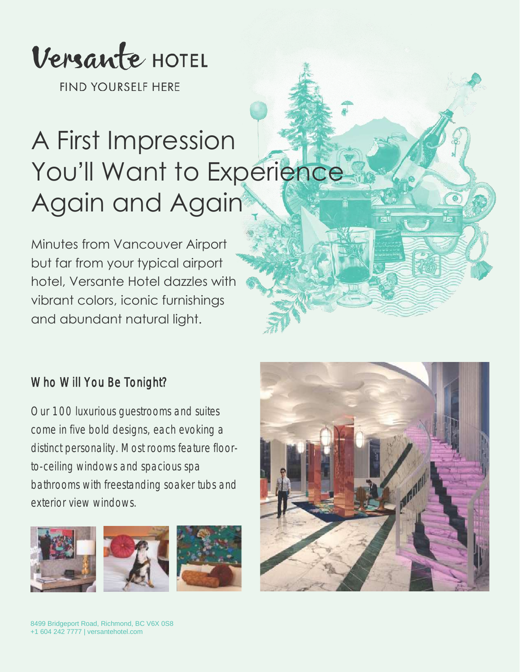

**FIND YOURSELF HERE** 

# A First Impression You'll Want to Experience Again and Again

Minutes from Vancouver Airport but far from your typical airport hotel, Versante Hotel dazzles with vibrant colors, iconic furnishings and abundant natural light.

#### Who Will You Be Tonight?

Our 100 luxurious guestrooms and suites come in five bold designs, each evoking a distinct personality. Most rooms feature floorto-ceiling windows and spacious spa bathrooms with freestanding soaker tubs and exterior view windows.